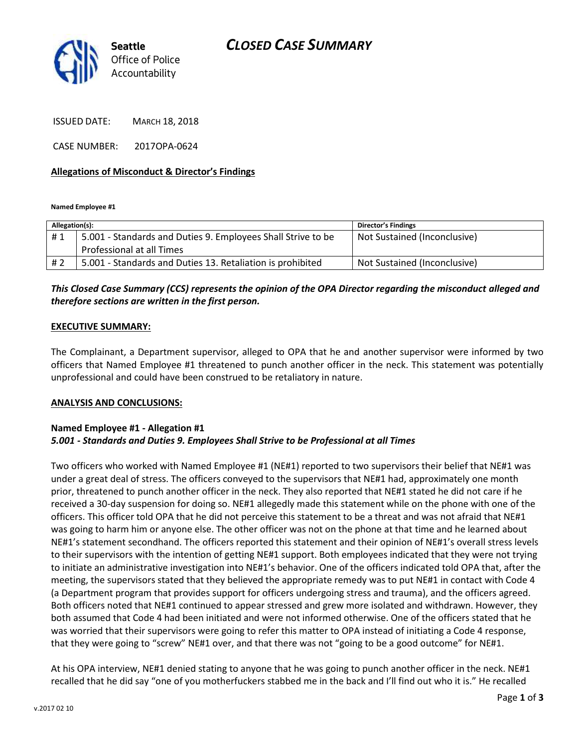# *CLOSED CASE SUMMARY*



ISSUED DATE: MARCH 18, 2018

CASE NUMBER: 2017OPA-0624

## **Allegations of Misconduct & Director's Findings**

**Named Employee #1**

| Allegation(s): |                                                              | <b>Director's Findings</b>   |
|----------------|--------------------------------------------------------------|------------------------------|
| #1             | 5.001 - Standards and Duties 9. Employees Shall Strive to be | Not Sustained (Inconclusive) |
|                | Professional at all Times                                    |                              |
| # 2            | 5.001 - Standards and Duties 13. Retaliation is prohibited   | Not Sustained (Inconclusive) |

# *This Closed Case Summary (CCS) represents the opinion of the OPA Director regarding the misconduct alleged and therefore sections are written in the first person.*

### **EXECUTIVE SUMMARY:**

The Complainant, a Department supervisor, alleged to OPA that he and another supervisor were informed by two officers that Named Employee #1 threatened to punch another officer in the neck. This statement was potentially unprofessional and could have been construed to be retaliatory in nature.

#### **ANALYSIS AND CONCLUSIONS:**

### **Named Employee #1 - Allegation #1** *5.001 - Standards and Duties 9. Employees Shall Strive to be Professional at all Times*

Two officers who worked with Named Employee #1 (NE#1) reported to two supervisors their belief that NE#1 was under a great deal of stress. The officers conveyed to the supervisors that NE#1 had, approximately one month prior, threatened to punch another officer in the neck. They also reported that NE#1 stated he did not care if he received a 30-day suspension for doing so. NE#1 allegedly made this statement while on the phone with one of the officers. This officer told OPA that he did not perceive this statement to be a threat and was not afraid that NE#1 was going to harm him or anyone else. The other officer was not on the phone at that time and he learned about NE#1's statement secondhand. The officers reported this statement and their opinion of NE#1's overall stress levels to their supervisors with the intention of getting NE#1 support. Both employees indicated that they were not trying to initiate an administrative investigation into NE#1's behavior. One of the officers indicated told OPA that, after the meeting, the supervisors stated that they believed the appropriate remedy was to put NE#1 in contact with Code 4 (a Department program that provides support for officers undergoing stress and trauma), and the officers agreed. Both officers noted that NE#1 continued to appear stressed and grew more isolated and withdrawn. However, they both assumed that Code 4 had been initiated and were not informed otherwise. One of the officers stated that he was worried that their supervisors were going to refer this matter to OPA instead of initiating a Code 4 response, that they were going to "screw" NE#1 over, and that there was not "going to be a good outcome" for NE#1.

At his OPA interview, NE#1 denied stating to anyone that he was going to punch another officer in the neck. NE#1 recalled that he did say "one of you motherfuckers stabbed me in the back and I'll find out who it is." He recalled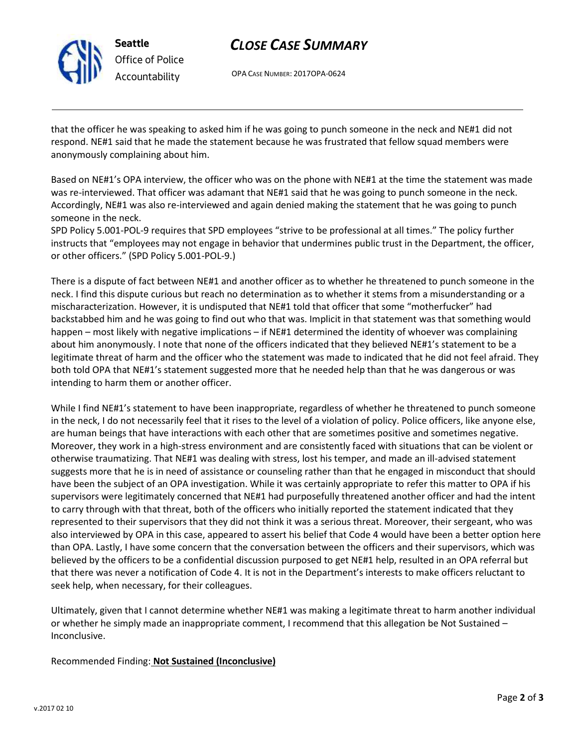

**Seattle** *Office of Police Accountability*

# *CLOSE CASE SUMMARY*

OPA CASE NUMBER: 2017OPA-0624

that the officer he was speaking to asked him if he was going to punch someone in the neck and NE#1 did not respond. NE#1 said that he made the statement because he was frustrated that fellow squad members were anonymously complaining about him.

Based on NE#1's OPA interview, the officer who was on the phone with NE#1 at the time the statement was made was re-interviewed. That officer was adamant that NE#1 said that he was going to punch someone in the neck. Accordingly, NE#1 was also re-interviewed and again denied making the statement that he was going to punch someone in the neck.

SPD Policy 5.001-POL-9 requires that SPD employees "strive to be professional at all times." The policy further instructs that "employees may not engage in behavior that undermines public trust in the Department, the officer, or other officers." (SPD Policy 5.001-POL-9.)

There is a dispute of fact between NE#1 and another officer as to whether he threatened to punch someone in the neck. I find this dispute curious but reach no determination as to whether it stems from a misunderstanding or a mischaracterization. However, it is undisputed that NE#1 told that officer that some "motherfucker" had backstabbed him and he was going to find out who that was. Implicit in that statement was that something would happen – most likely with negative implications – if NE#1 determined the identity of whoever was complaining about him anonymously. I note that none of the officers indicated that they believed NE#1's statement to be a legitimate threat of harm and the officer who the statement was made to indicated that he did not feel afraid. They both told OPA that NE#1's statement suggested more that he needed help than that he was dangerous or was intending to harm them or another officer.

While I find NE#1's statement to have been inappropriate, regardless of whether he threatened to punch someone in the neck, I do not necessarily feel that it rises to the level of a violation of policy. Police officers, like anyone else, are human beings that have interactions with each other that are sometimes positive and sometimes negative. Moreover, they work in a high-stress environment and are consistently faced with situations that can be violent or otherwise traumatizing. That NE#1 was dealing with stress, lost his temper, and made an ill-advised statement suggests more that he is in need of assistance or counseling rather than that he engaged in misconduct that should have been the subject of an OPA investigation. While it was certainly appropriate to refer this matter to OPA if his supervisors were legitimately concerned that NE#1 had purposefully threatened another officer and had the intent to carry through with that threat, both of the officers who initially reported the statement indicated that they represented to their supervisors that they did not think it was a serious threat. Moreover, their sergeant, who was also interviewed by OPA in this case, appeared to assert his belief that Code 4 would have been a better option here than OPA. Lastly, I have some concern that the conversation between the officers and their supervisors, which was believed by the officers to be a confidential discussion purposed to get NE#1 help, resulted in an OPA referral but that there was never a notification of Code 4. It is not in the Department's interests to make officers reluctant to seek help, when necessary, for their colleagues.

Ultimately, given that I cannot determine whether NE#1 was making a legitimate threat to harm another individual or whether he simply made an inappropriate comment, I recommend that this allegation be Not Sustained – Inconclusive.

Recommended Finding: **Not Sustained (Inconclusive)**